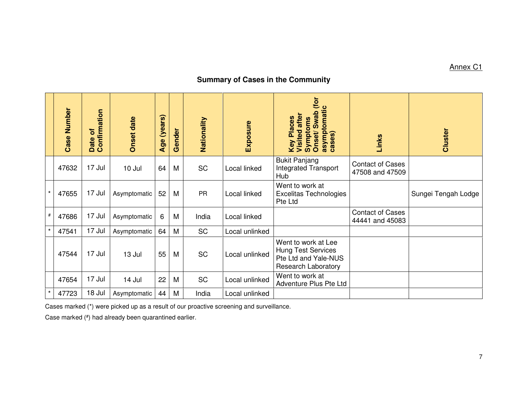## Annex C1

## **Summary of Cases in the Community**

|         | Case Number | Date of<br>Confirmation | Onset date   | Age (years) | Gender | Nationality | Exposure       | Onset/Swab (for<br>asymptomatic<br>cases)<br>Visited after<br><b>Key Places</b><br>Symptoms     | Links                                      | Cluster             |
|---------|-------------|-------------------------|--------------|-------------|--------|-------------|----------------|-------------------------------------------------------------------------------------------------|--------------------------------------------|---------------------|
|         | 47632       | 17 Jul                  | 10 Jul       | 64          | M      | <b>SC</b>   | Local linked   | <b>Bukit Panjang</b><br><b>Integrated Transport</b><br>Hub                                      | <b>Contact of Cases</b><br>47508 and 47509 |                     |
| $\star$ | 47655       | 17 Jul                  | Asymptomatic | 52          | M      | <b>PR</b>   | Local linked   | Went to work at<br><b>Excelitas Technologies</b><br>Pte Ltd                                     |                                            | Sungei Tengah Lodge |
| $\#$    | 47686       | 17 Jul                  | Asymptomatic | 6           | M      | India       | Local linked   |                                                                                                 | <b>Contact of Cases</b><br>44441 and 45083 |                     |
| $\star$ | 47541       | 17 Jul                  | Asymptomatic | 64          | M      | <b>SC</b>   | Local unlinked |                                                                                                 |                                            |                     |
|         | 47544       | 17 Jul                  | 13 Jul       | 55          | M      | <b>SC</b>   | Local unlinked | Went to work at Lee<br>Hung Test Services<br>Pte Ltd and Yale-NUS<br><b>Research Laboratory</b> |                                            |                     |
|         | 47654       | 17 Jul                  | 14 Jul       | 22          | M      | SC          | Local unlinked | Went to work at<br>Adventure Plus Pte Ltd                                                       |                                            |                     |
| $\star$ | 47723       | 18 Jul                  | Asymptomatic | 44          | M      | India       | Local unlinked |                                                                                                 |                                            |                     |

Cases marked (\*) were picked up as a result of our proactive screening and surveillance.

Case marked (#) had already been quarantined earlier.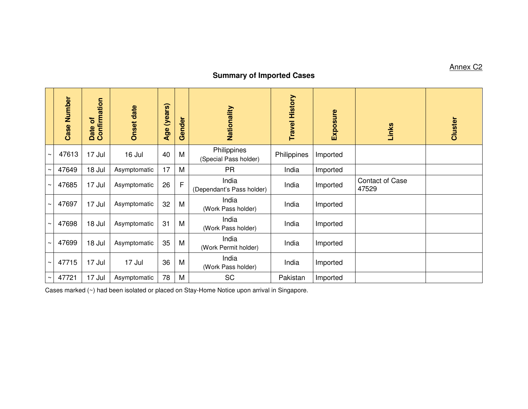## **Summary of Imported Cases**

|        | Number<br>Case | Date of<br>Confirmation | <b>Onset date</b> | (years)<br>Age | Gender       | Nationality                          | <b>Travel History</b> | Exposure | Links                           | Cluster |
|--------|----------------|-------------------------|-------------------|----------------|--------------|--------------------------------------|-----------------------|----------|---------------------------------|---------|
| $\sim$ | 47613          | 17 Jul                  | 16 Jul            | 40             | M            | Philippines<br>(Special Pass holder) | Philippines           | Imported |                                 |         |
| $\sim$ | 47649          | 18 Jul                  | Asymptomatic      | 17             | M            | <b>PR</b>                            | India                 | Imported |                                 |         |
| $\sim$ | 47685          | 17 Jul                  | Asymptomatic      | 26             | $\mathsf{F}$ | India<br>(Dependant's Pass holder)   | India                 | Imported | <b>Contact of Case</b><br>47529 |         |
| $\sim$ | 47697          | 17 Jul                  | Asymptomatic      | 32             | M            | India<br>(Work Pass holder)          | India                 | Imported |                                 |         |
| $\sim$ | 47698          | 18 Jul                  | Asymptomatic      | 31             | M            | India<br>(Work Pass holder)          | India                 | Imported |                                 |         |
| $\sim$ | 47699          | 18 Jul                  | Asymptomatic      | 35             | M            | India<br>(Work Permit holder)        | India                 | Imported |                                 |         |
| $\sim$ | 47715          | 17 Jul                  | 17 Jul            | 36             | M            | India<br>(Work Pass holder)          | India                 | Imported |                                 |         |
| $\sim$ | 47721          | 17 Jul                  | Asymptomatic      | 78             | M            | <b>SC</b>                            | Pakistan              | Imported |                                 |         |

Cases marked (~) had been isolated or placed on Stay-Home Notice upon arrival in Singapore.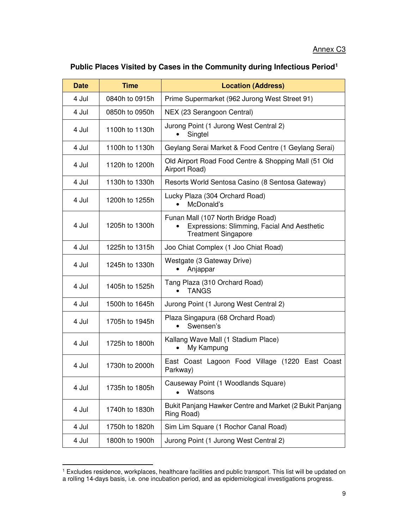## **Public Places Visited by Cases in the Community during Infectious Period<sup>1</sup>**

| <b>Date</b> | <b>Time</b>    | <b>Location (Address)</b>                                                                                       |  |  |
|-------------|----------------|-----------------------------------------------------------------------------------------------------------------|--|--|
| 4 Jul       | 0840h to 0915h | Prime Supermarket (962 Jurong West Street 91)                                                                   |  |  |
| 4 Jul       | 0850h to 0950h | NEX (23 Serangoon Central)                                                                                      |  |  |
| 4 Jul       | 1100h to 1130h | Jurong Point (1 Jurong West Central 2)<br>Singtel                                                               |  |  |
| 4 Jul       | 1100h to 1130h | Geylang Serai Market & Food Centre (1 Geylang Serai)                                                            |  |  |
| 4 Jul       | 1120h to 1200h | Old Airport Road Food Centre & Shopping Mall (51 Old<br>Airport Road)                                           |  |  |
| 4 Jul       | 1130h to 1330h | Resorts World Sentosa Casino (8 Sentosa Gateway)                                                                |  |  |
| 4 Jul       | 1200h to 1255h | Lucky Plaza (304 Orchard Road)<br>McDonald's                                                                    |  |  |
| 4 Jul       | 1205h to 1300h | Funan Mall (107 North Bridge Road)<br>Expressions: Slimming, Facial And Aesthetic<br><b>Treatment Singapore</b> |  |  |
| 4 Jul       | 1225h to 1315h | Joo Chiat Complex (1 Joo Chiat Road)                                                                            |  |  |
| 4 Jul       | 1245h to 1330h | Westgate (3 Gateway Drive)<br>Anjappar                                                                          |  |  |
| 4 Jul       | 1405h to 1525h | Tang Plaza (310 Orchard Road)<br><b>TANGS</b>                                                                   |  |  |
| 4 Jul       | 1500h to 1645h | Jurong Point (1 Jurong West Central 2)                                                                          |  |  |
| 4 Jul       | 1705h to 1945h | Plaza Singapura (68 Orchard Road)<br>Swensen's                                                                  |  |  |
| 4 Jul       | 1725h to 1800h | Kallang Wave Mall (1 Stadium Place)<br>My Kampung                                                               |  |  |
| 4 Jul       | 1730h to 2000h | East Coast Lagoon Food Village (1220 East Coast<br>Parkway)                                                     |  |  |
| 4 Jul       | 1735h to 1805h | Causeway Point (1 Woodlands Square)<br>Watsons                                                                  |  |  |
| 4 Jul       | 1740h to 1830h | Bukit Panjang Hawker Centre and Market (2 Bukit Panjang<br>Ring Road)                                           |  |  |
| 4 Jul       | 1750h to 1820h | Sim Lim Square (1 Rochor Canal Road)                                                                            |  |  |
| 4 Jul       | 1800h to 1900h | Jurong Point (1 Jurong West Central 2)                                                                          |  |  |

<sup>1</sup> Excludes residence, workplaces, healthcare facilities and public transport. This list will be updated on a rolling 14-days basis, i.e. one incubation period, and as epidemiological investigations progress.

<u>.</u>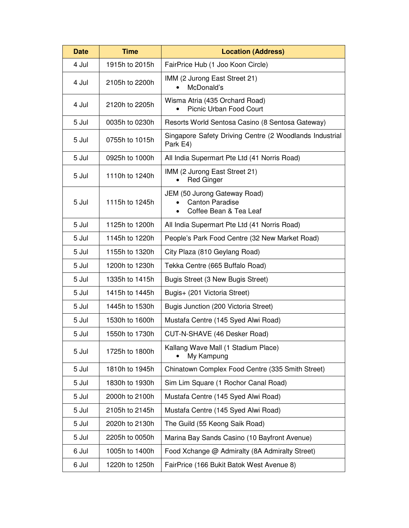| <b>Date</b> | <b>Time</b>    | <b>Location (Address)</b>                                                        |  |  |
|-------------|----------------|----------------------------------------------------------------------------------|--|--|
| 4 Jul       | 1915h to 2015h | FairPrice Hub (1 Joo Koon Circle)                                                |  |  |
| 4 Jul       | 2105h to 2200h | IMM (2 Jurong East Street 21)<br>McDonald's                                      |  |  |
| 4 Jul       | 2120h to 2205h | Wisma Atria (435 Orchard Road)<br>Picnic Urban Food Court                        |  |  |
| 5 Jul       | 0035h to 0230h | Resorts World Sentosa Casino (8 Sentosa Gateway)                                 |  |  |
| 5 Jul       | 0755h to 1015h | Singapore Safety Driving Centre (2 Woodlands Industrial<br>Park E4)              |  |  |
| 5 Jul       | 0925h to 1000h | All India Supermart Pte Ltd (41 Norris Road)                                     |  |  |
| 5 Jul       | 1110h to 1240h | IMM (2 Jurong East Street 21)<br><b>Red Ginger</b>                               |  |  |
| 5 Jul       | 1115h to 1245h | JEM (50 Jurong Gateway Road)<br><b>Canton Paradise</b><br>Coffee Bean & Tea Leaf |  |  |
| 5 Jul       | 1125h to 1200h | All India Supermart Pte Ltd (41 Norris Road)                                     |  |  |
| 5 Jul       | 1145h to 1220h | People's Park Food Centre (32 New Market Road)                                   |  |  |
| 5 Jul       | 1155h to 1320h | City Plaza (810 Geylang Road)                                                    |  |  |
| 5 Jul       | 1200h to 1230h | Tekka Centre (665 Buffalo Road)                                                  |  |  |
| 5 Jul       | 1335h to 1415h | Bugis Street (3 New Bugis Street)                                                |  |  |
| 5 Jul       | 1415h to 1445h | Bugis+ (201 Victoria Street)                                                     |  |  |
| 5 Jul       | 1445h to 1530h | Bugis Junction (200 Victoria Street)                                             |  |  |
| 5 Jul       | 1530h to 1600h | Mustafa Centre (145 Syed Alwi Road)                                              |  |  |
| 5 Jul       | 1550h to 1730h | CUT-N-SHAVE (46 Desker Road)                                                     |  |  |
| 5 Jul       | 1725h to 1800h | Kallang Wave Mall (1 Stadium Place)<br>My Kampung                                |  |  |
| 5 Jul       | 1810h to 1945h | Chinatown Complex Food Centre (335 Smith Street)                                 |  |  |
| 5 Jul       | 1830h to 1930h | Sim Lim Square (1 Rochor Canal Road)                                             |  |  |
| 5 Jul       | 2000h to 2100h | Mustafa Centre (145 Syed Alwi Road)                                              |  |  |
| 5 Jul       | 2105h to 2145h | Mustafa Centre (145 Syed Alwi Road)                                              |  |  |
| 5 Jul       | 2020h to 2130h | The Guild (55 Keong Saik Road)                                                   |  |  |
| 5 Jul       | 2205h to 0050h | Marina Bay Sands Casino (10 Bayfront Avenue)                                     |  |  |
| 6 Jul       | 1005h to 1400h | Food Xchange @ Admiralty (8A Admiralty Street)                                   |  |  |
| 6 Jul       | 1220h to 1250h | FairPrice (166 Bukit Batok West Avenue 8)                                        |  |  |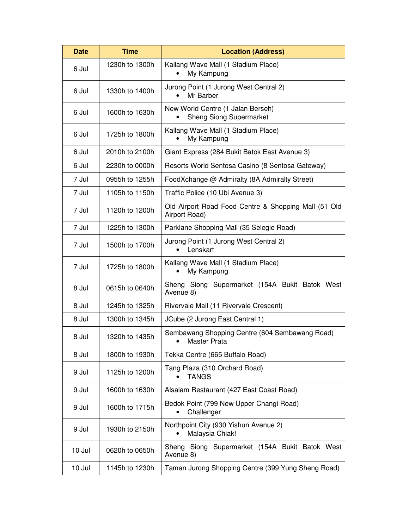| <b>Date</b>              | <b>Time</b>    | <b>Location (Address)</b>                                                   |  |  |  |
|--------------------------|----------------|-----------------------------------------------------------------------------|--|--|--|
| 6 Jul                    | 1230h to 1300h | Kallang Wave Mall (1 Stadium Place)<br>My Kampung                           |  |  |  |
| 6 Jul                    | 1330h to 1400h | Jurong Point (1 Jurong West Central 2)<br>Mr Barber                         |  |  |  |
| 6 Jul                    | 1600h to 1630h | New World Centre (1 Jalan Berseh)<br><b>Sheng Siong Supermarket</b>         |  |  |  |
| 6 Jul                    | 1725h to 1800h | Kallang Wave Mall (1 Stadium Place)<br>My Kampung                           |  |  |  |
| 6 Jul                    | 2010h to 2100h | Giant Express (284 Bukit Batok East Avenue 3)                               |  |  |  |
| 6 Jul                    | 2230h to 0000h | Resorts World Sentosa Casino (8 Sentosa Gateway)                            |  |  |  |
| 7 Jul                    | 0955h to 1255h | FoodXchange @ Admiralty (8A Admiralty Street)                               |  |  |  |
| 7 Jul                    | 1105h to 1150h | Traffic Police (10 Ubi Avenue 3)                                            |  |  |  |
| 7 Jul                    | 1120h to 1200h | Old Airport Road Food Centre & Shopping Mall (51 Old<br>Airport Road)       |  |  |  |
| 7 Jul                    | 1225h to 1300h | Parklane Shopping Mall (35 Selegie Road)                                    |  |  |  |
| 7 Jul                    | 1500h to 1700h | Jurong Point (1 Jurong West Central 2)<br>Lenskart                          |  |  |  |
| 7 Jul                    | 1725h to 1800h | Kallang Wave Mall (1 Stadium Place)<br>My Kampung                           |  |  |  |
| 8 Jul                    | 0615h to 0640h | Sheng Siong Supermarket (154A Bukit Batok West<br>Avenue 8)                 |  |  |  |
| 8 Jul                    | 1245h to 1325h | Rivervale Mall (11 Rivervale Crescent)                                      |  |  |  |
| 8 Jul                    | 1300h to 1345h | JCube (2 Jurong East Central 1)                                             |  |  |  |
| 8 Jul                    | 1320h to 1435h | Sembawang Shopping Centre (604 Sembawang Road)<br>Master Prata<br>$\bullet$ |  |  |  |
| 8 Jul                    | 1800h to 1930h | Tekka Centre (665 Buffalo Road)                                             |  |  |  |
| 9 Jul                    | 1125h to 1200h | Tang Plaza (310 Orchard Road)<br><b>TANGS</b>                               |  |  |  |
| 9 Jul                    | 1600h to 1630h | Alsalam Restaurant (427 East Coast Road)                                    |  |  |  |
| 9 Jul                    | 1600h to 1715h | Bedok Point (799 New Upper Changi Road)<br>Challenger                       |  |  |  |
| 9 Jul                    | 1930h to 2150h | Northpoint City (930 Yishun Avenue 2)<br>Malaysia Chiak!                    |  |  |  |
| 10 Jul                   | 0620h to 0650h | Sheng Siong Supermarket (154A Bukit Batok West<br>Avenue 8)                 |  |  |  |
| 10 Jul<br>1145h to 1230h |                | Taman Jurong Shopping Centre (399 Yung Sheng Road)                          |  |  |  |